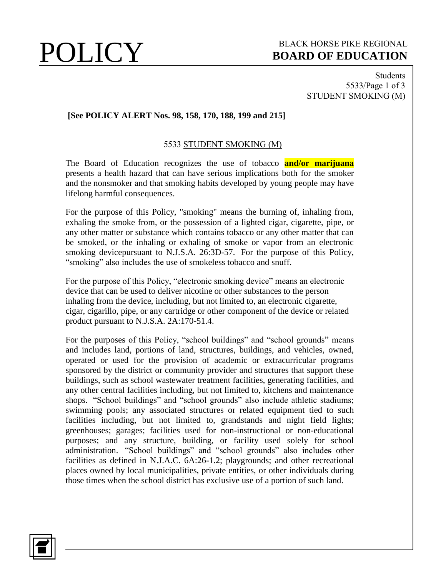### **POLICY** BLACK HORSE PIKE REGIONAL **BOARD OF EDUCATION BOARD OF EDUCATION**

Students 5533/Page 1 of 3 STUDENT SMOKING (M)

### **[See POLICY ALERT Nos. 98, 158, 170, 188, 199 and 215]**

### 5533 STUDENT SMOKING (M)

The Board of Education recognizes the use of tobacco **and/or marijuana** presents a health hazard that can have serious implications both for the smoker and the nonsmoker and that smoking habits developed by young people may have lifelong harmful consequences.

For the purpose of this Policy, "smoking" means the burning of, inhaling from, exhaling the smoke from, or the possession of a lighted cigar, cigarette, pipe, or any other matter or substance which contains tobacco or any other matter that can be smoked, or the inhaling or exhaling of smoke or vapor from an electronic smoking devicepursuant to N.J.S.A. 26:3D-57. For the purpose of this Policy, "smoking" also includes the use of smokeless tobacco and snuff.

For the purpose of this Policy, "electronic smoking device" means an electronic device that can be used to deliver nicotine or other substances to the person inhaling from the device, including, but not limited to, an electronic cigarette, cigar, cigarillo, pipe, or any cartridge or other component of the device or related product pursuant to N.J.S.A. 2A:170-51.4.

For the purposes of this Policy, "school buildings" and "school grounds" means and includes land, portions of land, structures, buildings, and vehicles, owned, operated or used for the provision of academic or extracurricular programs sponsored by the district or community provider and structures that support these buildings, such as school wastewater treatment facilities, generating facilities, and any other central facilities including, but not limited to, kitchens and maintenance shops. "School buildings" and "school grounds" also include athletic stadiums; swimming pools; any associated structures or related equipment tied to such facilities including, but not limited to, grandstands and night field lights; greenhouses; garages; facilities used for non-instructional or non-educational purposes; and any structure, building, or facility used solely for school administration. "School buildings" and "school grounds" also includes other facilities as defined in N.J.A.C. 6A:26-1.2; playgrounds; and other recreational places owned by local municipalities, private entities, or other individuals during those times when the school district has exclusive use of a portion of such land.

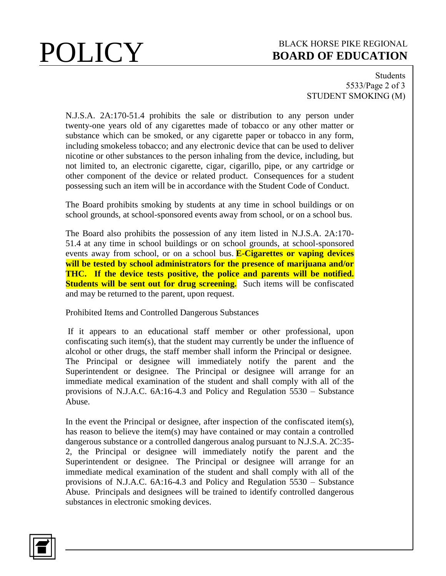# **POLICY** BLACK HORSE PIKE REGIONAL **BOARD OF EDUCATION BOARD OF EDUCATION**

Students 5533/Page 2 of 3 STUDENT SMOKING (M)

N.J.S.A. 2A:170-51.4 prohibits the sale or distribution to any person under twenty-one years old of any cigarettes made of tobacco or any other matter or substance which can be smoked, or any cigarette paper or tobacco in any form, including smokeless tobacco; and any electronic device that can be used to deliver nicotine or other substances to the person inhaling from the device, including, but not limited to, an electronic cigarette, cigar, cigarillo, pipe, or any cartridge or other component of the device or related product. Consequences for a student possessing such an item will be in accordance with the Student Code of Conduct.

The Board prohibits smoking by students at any time in school buildings or on school grounds, at school-sponsored events away from school, or on a school bus.

The Board also prohibits the possession of any item listed in N.J.S.A. 2A:170- 51.4 at any time in school buildings or on school grounds, at school-sponsored events away from school, or on a school bus. **E-Cigarettes or vaping devices will be tested by school administrators for the presence of marijuana and/or THC. If the device tests positive, the police and parents will be notified. Students will be sent out for drug screening.** Such items will be confiscated and may be returned to the parent, upon request.

Prohibited Items and Controlled Dangerous Substances

If it appears to an educational staff member or other professional, upon confiscating such item(s), that the student may currently be under the influence of alcohol or other drugs, the staff member shall inform the Principal or designee. The Principal or designee will immediately notify the parent and the Superintendent or designee. The Principal or designee will arrange for an immediate medical examination of the student and shall comply with all of the provisions of N.J.A.C. 6A:16-4.3 and Policy and Regulation 5530 – Substance Abuse.

In the event the Principal or designee, after inspection of the confiscated item(s), has reason to believe the item(s) may have contained or may contain a controlled dangerous substance or a controlled dangerous analog pursuant to N.J.S.A. 2C:35- 2, the Principal or designee will immediately notify the parent and the Superintendent or designee. The Principal or designee will arrange for an immediate medical examination of the student and shall comply with all of the provisions of N.J.A.C. 6A:16-4.3 and Policy and Regulation 5530 – Substance Abuse. Principals and designees will be trained to identify controlled dangerous substances in electronic smoking devices.